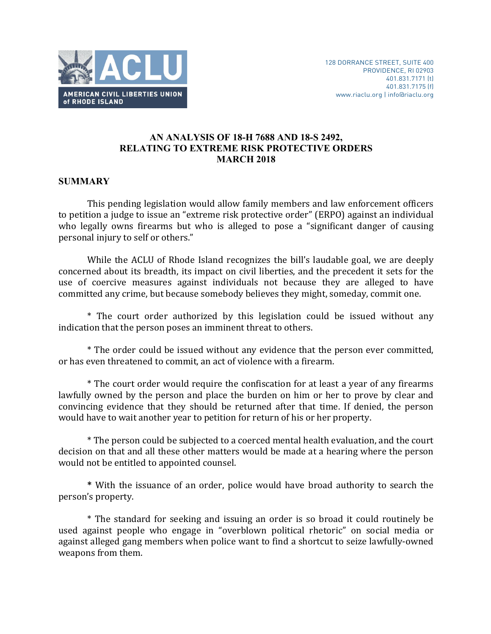

# **AN ANALYSIS OF 18-H 7688 AND 18-S 2492, RELATING TO EXTREME RISK PROTECTIVE ORDERS MARCH 2018**

# **SUMMARY**

This pending legislation would allow family members and law enforcement officers to petition a judge to issue an "extreme risk protective order" (ERPO) against an individual who legally owns firearms but who is alleged to pose a "significant danger of causing personal injury to self or others."

While the ACLU of Rhode Island recognizes the bill's laudable goal, we are deeply concerned about its breadth, its impact on civil liberties, and the precedent it sets for the use of coercive measures against individuals not because they are alleged to have committed any crime, but because somebody believes they might, someday, commit one.

\* The court order authorized by this legislation could be issued without any indication that the person poses an imminent threat to others.

\* The order could be issued without any evidence that the person ever committed, or has even threatened to commit, an act of violence with a firearm.

\* The court order would require the confiscation for at least a vear of any firearms lawfully owned by the person and place the burden on him or her to prove by clear and convincing evidence that they should be returned after that time. If denied, the person would have to wait another year to petition for return of his or her property.

\* The person could be subjected to a coerced mental health evaluation, and the court decision on that and all these other matters would be made at a hearing where the person would not be entitled to appointed counsel.

\* With the issuance of an order, police would have broad authority to search the person's property.

\* The standard for seeking and issuing an order is so broad it could routinely be used against people who engage in "overblown political rhetoric" on social media or against alleged gang members when police want to find a shortcut to seize lawfully-owned weapons from them.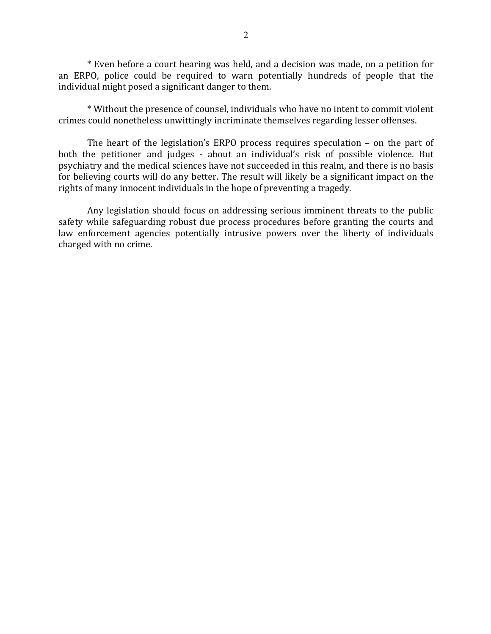\* Even before a court hearing was held, and a decision was made, on a petition for an ERPO, police could be required to warn potentially hundreds of people that the individual might posed a significant danger to them.

\* Without the presence of counsel, individuals who have no intent to commit violent crimes could nonetheless unwittingly incriminate themselves regarding lesser offenses.

The heart of the legislation's ERPO process requires speculation  $-$  on the part of both the petitioner and judges - about an individual's risk of possible violence. But psychiatry and the medical sciences have not succeeded in this realm, and there is no basis for believing courts will do any better. The result will likely be a significant impact on the rights of many innocent individuals in the hope of preventing a tragedy.

Any legislation should focus on addressing serious imminent threats to the public safety while safeguarding robust due process procedures before granting the courts and law enforcement agencies potentially intrusive powers over the liberty of individuals charged with no crime.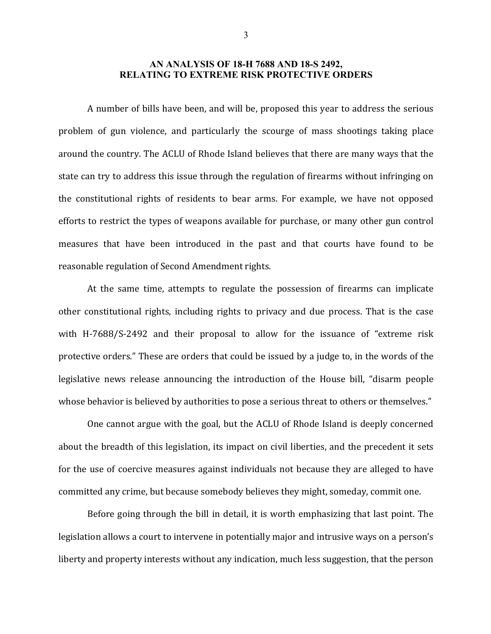### **AN ANALYSIS OF 18-H 7688 AND 18-S 2492, RELATING TO EXTREME RISK PROTECTIVE ORDERS**

A number of bills have been, and will be, proposed this year to address the serious problem of gun violence, and particularly the scourge of mass shootings taking place around the country. The ACLU of Rhode Island believes that there are many ways that the state can try to address this issue through the regulation of firearms without infringing on the constitutional rights of residents to bear arms. For example, we have not opposed efforts to restrict the types of weapons available for purchase, or many other gun control measures that have been introduced in the past and that courts have found to be reasonable regulation of Second Amendment rights.

At the same time, attempts to regulate the possession of firearms can implicate other constitutional rights, including rights to privacy and due process. That is the case with H-7688/S-2492 and their proposal to allow for the issuance of "extreme risk protective orders." These are orders that could be issued by a judge to, in the words of the legislative news release announcing the introduction of the House bill, "disarm people whose behavior is believed by authorities to pose a serious threat to others or themselves."

One cannot argue with the goal, but the ACLU of Rhode Island is deeply concerned about the breadth of this legislation, its impact on civil liberties, and the precedent it sets for the use of coercive measures against individuals not because they are alleged to have committed any crime, but because somebody believes they might, someday, commit one.

Before going through the bill in detail, it is worth emphasizing that last point. The legislation allows a court to intervene in potentially major and intrusive ways on a person's liberty and property interests without any indication, much less suggestion, that the person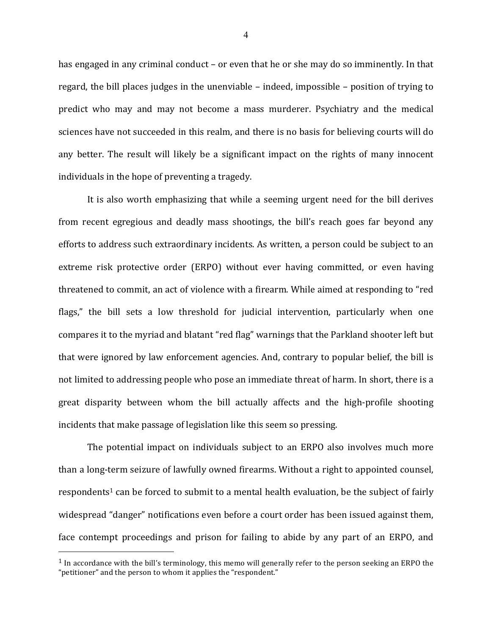has engaged in any criminal conduct – or even that he or she may do so imminently. In that regard, the bill places judges in the unenviable  $-$  indeed, impossible  $-$  position of trying to predict who may and may not become a mass murderer. Psychiatry and the medical sciences have not succeeded in this realm, and there is no basis for believing courts will do any better. The result will likely be a significant impact on the rights of many innocent individuals in the hope of preventing a tragedy.

It is also worth emphasizing that while a seeming urgent need for the bill derives from recent egregious and deadly mass shootings, the bill's reach goes far beyond any efforts to address such extraordinary incidents. As written, a person could be subject to an extreme risk protective order (ERPO) without ever having committed, or even having threatened to commit, an act of violence with a firearm. While aimed at responding to "red flags," the bill sets a low threshold for judicial intervention, particularly when one compares it to the myriad and blatant "red flag" warnings that the Parkland shooter left but that were ignored by law enforcement agencies. And, contrary to popular belief, the bill is not limited to addressing people who pose an immediate threat of harm. In short, there is a great disparity between whom the bill actually affects and the high-profile shooting incidents that make passage of legislation like this seem so pressing.

The potential impact on individuals subject to an ERPO also involves much more than a long-term seizure of lawfully owned firearms. Without a right to appointed counsel, respondents<sup>1</sup> can be forced to submit to a mental health evaluation, be the subject of fairly widespread "danger" notifications even before a court order has been issued against them, face contempt proceedings and prison for failing to abide by any part of an ERPO, and

 $1$  In accordance with the bill's terminology, this memo will generally refer to the person seeking an ERPO the "petitioner" and the person to whom it applies the "respondent."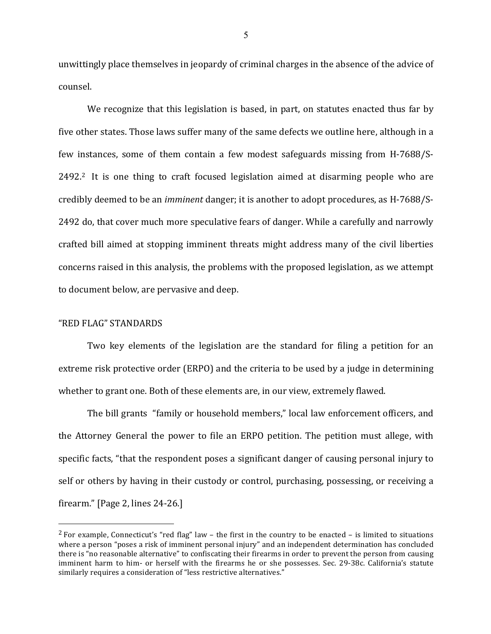unwittingly place themselves in jeopardy of criminal charges in the absence of the advice of counsel.

We recognize that this legislation is based, in part, on statutes enacted thus far by five other states. Those laws suffer many of the same defects we outline here, although in a few instances, some of them contain a few modest safeguards missing from H-7688/S- $2492<sup>2</sup>$  It is one thing to craft focused legislation aimed at disarming people who are credibly deemed to be an *imminent* danger; it is another to adopt procedures, as H-7688/S-2492 do, that cover much more speculative fears of danger. While a carefully and narrowly crafted bill aimed at stopping imminent threats might address many of the civil liberties concerns raised in this analysis, the problems with the proposed legislation, as we attempt to document below, are pervasive and deep.

## "RED FLAG" STANDARDS

1

Two key elements of the legislation are the standard for filing a petition for an extreme risk protective order (ERPO) and the criteria to be used by a judge in determining whether to grant one. Both of these elements are, in our view, extremely flawed.

The bill grants "family or household members," local law enforcement officers, and the Attorney General the power to file an ERPO petition. The petition must allege, with specific facts, "that the respondent poses a significant danger of causing personal injury to self or others by having in their custody or control, purchasing, possessing, or receiving a firearm."  $\lceil \text{Page 2}, \text{lines } 24 - 26. \rceil$ 

<sup>&</sup>lt;sup>2</sup> For example, Connecticut's "red flag" law – the first in the country to be enacted – is limited to situations where a person "poses a risk of imminent personal injury" and an independent determination has concluded there is "no reasonable alternative" to confiscating their firearms in order to prevent the person from causing imminent harm to him- or herself with the firearms he or she possesses. Sec. 29-38c. California's statute similarly requires a consideration of "less restrictive alternatives."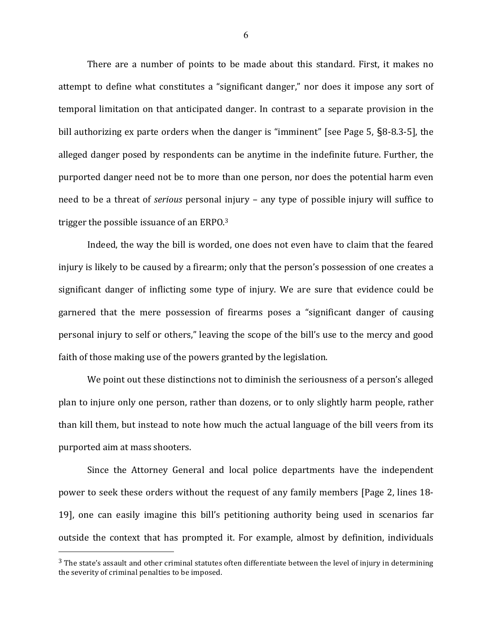There are a number of points to be made about this standard. First, it makes no attempt to define what constitutes a "significant danger," nor does it impose any sort of temporal limitation on that anticipated danger. In contrast to a separate provision in the bill authorizing ex parte orders when the danger is "imminent" [see Page 5,  $\S$ 8-8.3-5], the alleged danger posed by respondents can be anytime in the indefinite future. Further, the purported danger need not be to more than one person, nor does the potential harm even need to be a threat of *serious* personal injury – any type of possible injury will suffice to trigger the possible issuance of an ERPO. $3$ 

Indeed, the way the bill is worded, one does not even have to claim that the feared injury is likely to be caused by a firearm; only that the person's possession of one creates a significant danger of inflicting some type of injury. We are sure that evidence could be garnered that the mere possession of firearms poses a "significant danger of causing personal injury to self or others," leaving the scope of the bill's use to the mercy and good faith of those making use of the powers granted by the legislation.

We point out these distinctions not to diminish the seriousness of a person's alleged plan to injure only one person, rather than dozens, or to only slightly harm people, rather than kill them, but instead to note how much the actual language of the bill veers from its purported aim at mass shooters.

Since the Attorney General and local police departments have the independent power to seek these orders without the request of any family members [Page 2, lines 18-19], one can easily imagine this bill's petitioning authority being used in scenarios far outside the context that has prompted it. For example, almost by definition, individuals

 $3$  The state's assault and other criminal statutes often differentiate between the level of injury in determining the severity of criminal penalties to be imposed.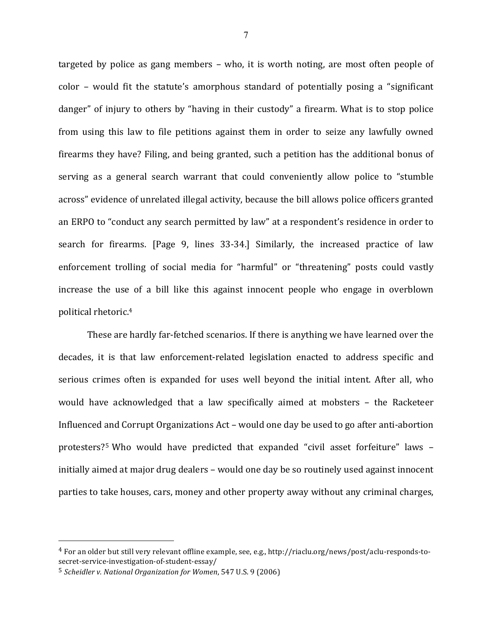targeted by police as gang members  $-$  who, it is worth noting, are most often people of  $color -$  would fit the statute's amorphous standard of potentially posing a "significant" danger" of injury to others by "having in their custody" a firearm. What is to stop police from using this law to file petitions against them in order to seize any lawfully owned firearms they have? Filing, and being granted, such a petition has the additional bonus of serving as a general search warrant that could conveniently allow police to "stumble across" evidence of unrelated illegal activity, because the bill allows police officers granted an ERPO to "conduct any search permitted by law" at a respondent's residence in order to search for firearms. [Page 9, lines 33-34.] Similarly, the increased practice of law enforcement trolling of social media for "harmful" or "threatening" posts could vastly increase the use of a bill like this against innocent people who engage in overblown political rhetoric.<sup>4</sup>

These are hardly far-fetched scenarios. If there is anything we have learned over the decades, it is that law enforcement-related legislation enacted to address specific and serious crimes often is expanded for uses well beyond the initial intent. After all, who would have acknowledged that a law specifically aimed at mobsters - the Racketeer Influenced and Corrupt Organizations Act – would one day be used to go after anti-abortion protesters?<sup>5</sup> Who would have predicted that expanded "civil asset forfeiture" laws initially aimed at major drug dealers – would one day be so routinely used against innocent parties to take houses, cars, money and other property away without any criminal charges,

 $4$  For an older but still very relevant offline example, see, e.g., http://riaclu.org/news/post/aclu-responds-tosecret-service-investigation-of-student-essay/

<sup>&</sup>lt;sup>5</sup> *Scheidler v. National Organization for Women*, 547 U.S. 9 (2006)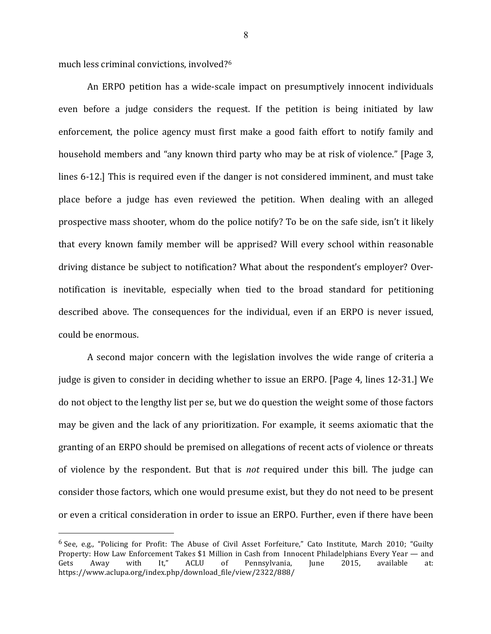much less criminal convictions, involved?<sup>6</sup>

1

An ERPO petition has a wide-scale impact on presumptively innocent individuals even before a judge considers the request. If the petition is being initiated by law enforcement, the police agency must first make a good faith effort to notify family and household members and "any known third party who may be at risk of violence." [Page 3, lines 6-12.] This is required even if the danger is not considered imminent, and must take place before a judge has even reviewed the petition. When dealing with an alleged prospective mass shooter, whom do the police notify? To be on the safe side, isn't it likely that every known family member will be apprised? Will every school within reasonable driving distance be subject to notification? What about the respondent's employer? Overnotification is inevitable, especially when tied to the broad standard for petitioning described above. The consequences for the individual, even if an ERPO is never issued, could be enormous.

A second major concern with the legislation involves the wide range of criteria a judge is given to consider in deciding whether to issue an ERPO. [Page 4, lines 12-31.] We do not object to the lengthy list per se, but we do question the weight some of those factors may be given and the lack of any prioritization. For example, it seems axiomatic that the granting of an ERPO should be premised on allegations of recent acts of violence or threats of violence by the respondent. But that is *not* required under this bill. The judge can consider those factors, which one would presume exist, but they do not need to be present or even a critical consideration in order to issue an ERPO. Further, even if there have been

<sup>&</sup>lt;sup>6</sup> See, e.g., "Policing for Profit: The Abuse of Civil Asset Forfeiture," Cato Institute, March 2010; "Guilty Property: How Law Enforcement Takes \$1 Million in Cash from Innocent Philadelphians Every Year — and Gets Away with It," ACLU of Pennsylvania, June 2015, available at: https://www.aclupa.org/index.php/download\_file/view/2322/888/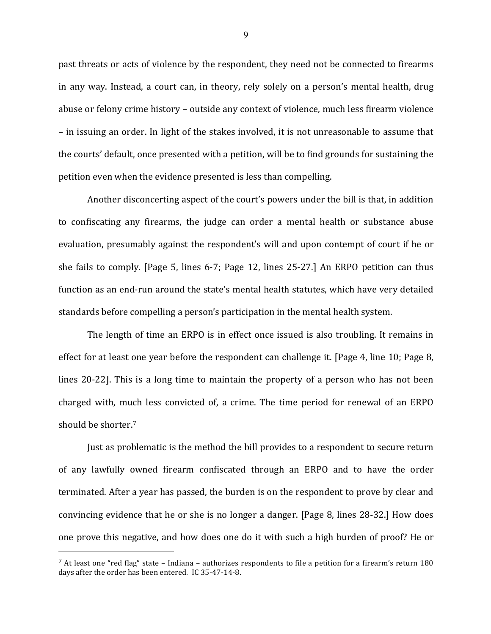past threats or acts of violence by the respondent, they need not be connected to firearms in any way. Instead, a court can, in theory, rely solely on a person's mental health, drug abuse or felony crime history – outside any context of violence, much less firearm violence – in issuing an order. In light of the stakes involved, it is not unreasonable to assume that the courts' default, once presented with a petition, will be to find grounds for sustaining the petition even when the evidence presented is less than compelling.

Another disconcerting aspect of the court's powers under the bill is that, in addition to confiscating any firearms, the judge can order a mental health or substance abuse evaluation, presumably against the respondent's will and upon contempt of court if he or she fails to comply. [Page 5, lines  $6-7$ ; Page 12, lines  $25-27$ .] An ERPO petition can thus function as an end-run around the state's mental health statutes, which have very detailed standards before compelling a person's participation in the mental health system.

The length of time an ERPO is in effect once issued is also troubling. It remains in effect for at least one year before the respondent can challenge it. [Page 4, line 10; Page 8, lines 20-22]. This is a long time to maintain the property of a person who has not been charged with, much less convicted of, a crime. The time period for renewal of an ERPO should be shorter.<sup>7</sup>

Just as problematic is the method the bill provides to a respondent to secure return of any lawfully owned firearm confiscated through an ERPO and to have the order terminated. After a year has passed, the burden is on the respondent to prove by clear and convincing evidence that he or she is no longer a danger. [Page 8, lines 28-32.] How does one prove this negative, and how does one do it with such a high burden of proof? He or

 $^7$  At least one "red flag" state - Indiana - authorizes respondents to file a petition for a firearm's return 180 days after the order has been entered. IC 35-47-14-8.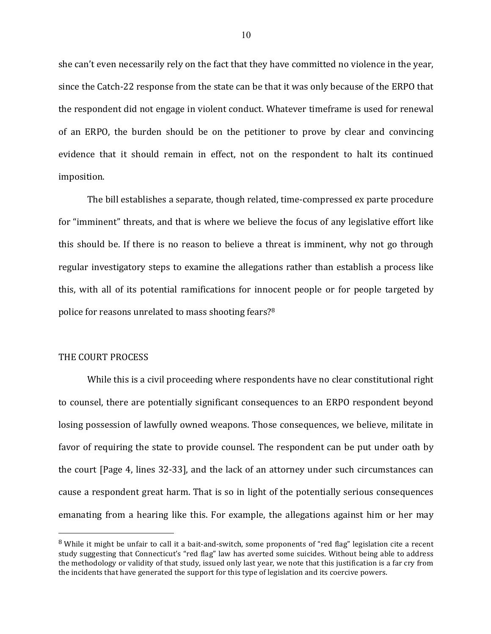she can't even necessarily rely on the fact that they have committed no violence in the year, since the Catch-22 response from the state can be that it was only because of the ERPO that the respondent did not engage in violent conduct. Whatever timeframe is used for renewal of an ERPO, the burden should be on the petitioner to prove by clear and convincing evidence that it should remain in effect, not on the respondent to halt its continued imposition.

The bill establishes a separate, though related, time-compressed ex parte procedure for "imminent" threats, and that is where we believe the focus of any legislative effort like this should be. If there is no reason to believe a threat is imminent, why not go through regular investigatory steps to examine the allegations rather than establish a process like this, with all of its potential ramifications for innocent people or for people targeted by police for reasons unrelated to mass shooting fears?<sup>8</sup>

### THE COURT PROCESS

1

While this is a civil proceeding where respondents have no clear constitutional right to counsel, there are potentially significant consequences to an ERPO respondent beyond losing possession of lawfully owned weapons. Those consequences, we believe, militate in favor of requiring the state to provide counsel. The respondent can be put under oath by the court [Page 4, lines 32-33], and the lack of an attorney under such circumstances can cause a respondent great harm. That is so in light of the potentially serious consequences emanating from a hearing like this. For example, the allegations against him or her may

 $8$  While it might be unfair to call it a bait-and-switch, some proponents of "red flag" legislation cite a recent study suggesting that Connecticut's "red flag" law has averted some suicides. Without being able to address the methodology or validity of that study, issued only last year, we note that this justification is a far cry from the incidents that have generated the support for this type of legislation and its coercive powers.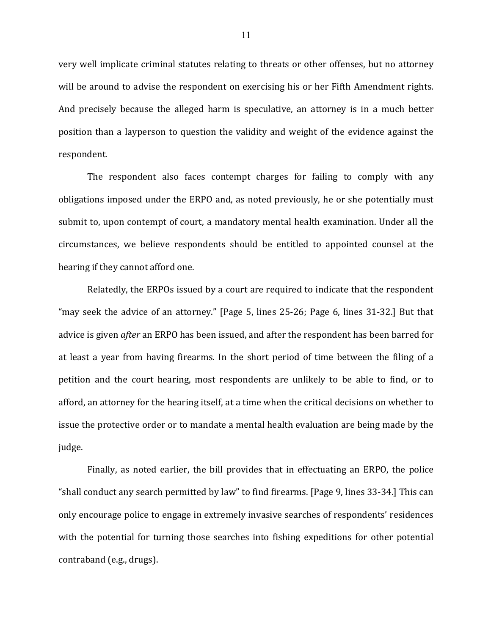very well implicate criminal statutes relating to threats or other offenses, but no attorney will be around to advise the respondent on exercising his or her Fifth Amendment rights. And precisely because the alleged harm is speculative, an attorney is in a much better position than a layperson to question the validity and weight of the evidence against the respondent.

The respondent also faces contempt charges for failing to comply with any obligations imposed under the ERPO and, as noted previously, he or she potentially must submit to, upon contempt of court, a mandatory mental health examination. Under all the circumstances, we believe respondents should be entitled to appointed counsel at the hearing if they cannot afford one.

Relatedly, the ERPOs issued by a court are required to indicate that the respondent "may seek the advice of an attorney." [Page 5, lines  $25-26$ ; Page 6, lines  $31-32$ .] But that advice is given *after* an ERPO has been issued, and after the respondent has been barred for at least a year from having firearms. In the short period of time between the filing of a petition and the court hearing, most respondents are unlikely to be able to find, or to afford, an attorney for the hearing itself, at a time when the critical decisions on whether to issue the protective order or to mandate a mental health evaluation are being made by the judge.

Finally, as noted earlier, the bill provides that in effectuating an ERPO, the police "shall conduct any search permitted by law" to find firearms. [Page 9, lines 33-34.] This can only encourage police to engage in extremely invasive searches of respondents' residences with the potential for turning those searches into fishing expeditions for other potential contraband (e.g., drugs).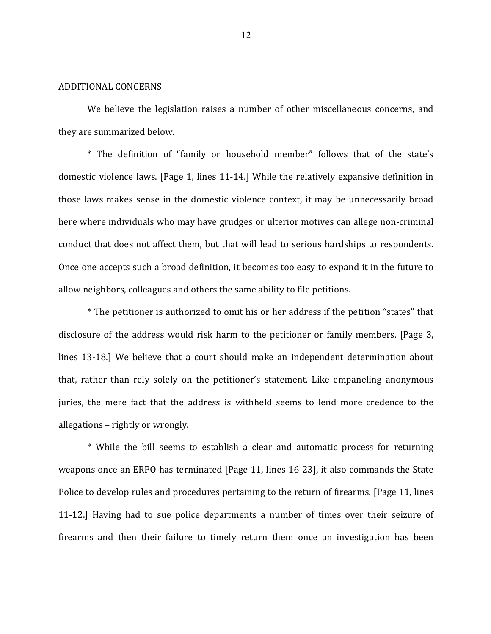#### ADDITIONAL CONCERNS

We believe the legislation raises a number of other miscellaneous concerns, and they are summarized below.

\* The definition of "family or household member" follows that of the state's domestic violence laws. [Page 1, lines  $11-14$ .] While the relatively expansive definition in those laws makes sense in the domestic violence context, it may be unnecessarily broad here where individuals who may have grudges or ulterior motives can allege non-criminal conduct that does not affect them, but that will lead to serious hardships to respondents. Once one accepts such a broad definition, it becomes too easy to expand it in the future to allow neighbors, colleagues and others the same ability to file petitions.

\* The petitioner is authorized to omit his or her address if the petition "states" that disclosure of the address would risk harm to the petitioner or family members. [Page 3, lines 13-18.] We believe that a court should make an independent determination about that, rather than rely solely on the petitioner's statement. Like empaneling anonymous juries, the mere fact that the address is withheld seems to lend more credence to the allegations – rightly or wrongly.

\* While the bill seems to establish a clear and automatic process for returning weapons once an ERPO has terminated  $[Page 11, lines 16-23]$ , it also commands the State Police to develop rules and procedures pertaining to the return of firearms. [Page 11, lines 11-12.] Having had to sue police departments a number of times over their seizure of firearms and then their failure to timely return them once an investigation has been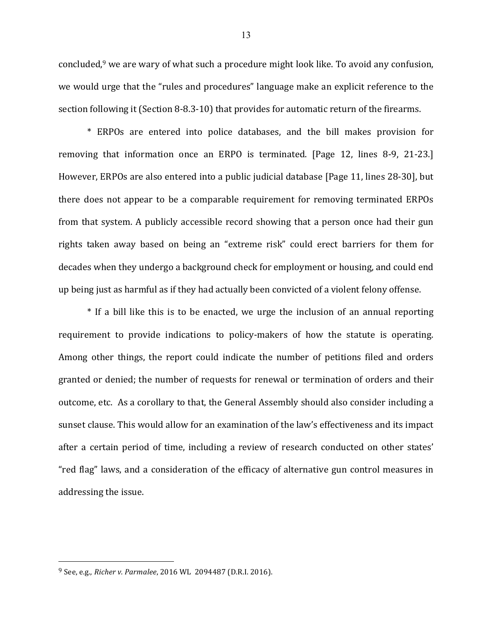concluded, $9$  we are wary of what such a procedure might look like. To avoid any confusion, we would urge that the "rules and procedures" language make an explicit reference to the section following it (Section 8-8.3-10) that provides for automatic return of the firearms.

\* ERPOs are entered into police databases, and the bill makes provision for removing that information once an ERPO is terminated. [Page 12, lines 8-9, 21-23.] However, ERPOs are also entered into a public judicial database [Page 11, lines 28-30], but there does not appear to be a comparable requirement for removing terminated ERPOs from that system. A publicly accessible record showing that a person once had their gun rights taken away based on being an "extreme risk" could erect barriers for them for decades when they undergo a background check for employment or housing, and could end up being just as harmful as if they had actually been convicted of a violent felony offense.

\* If a bill like this is to be enacted, we urge the inclusion of an annual reporting requirement to provide indications to policy-makers of how the statute is operating. Among other things, the report could indicate the number of petitions filed and orders granted or denied; the number of requests for renewal or termination of orders and their outcome, etc. As a corollary to that, the General Assembly should also consider including a sunset clause. This would allow for an examination of the law's effectiveness and its impact after a certain period of time, including a review of research conducted on other states' "red flag" laws, and a consideration of the efficacy of alternative gun control measures in addressing the issue.

<sup>&</sup>lt;sup>9</sup> See, e.g., *Richer v. Parmalee*, 2016 WL 2094487 (D.R.I. 2016).